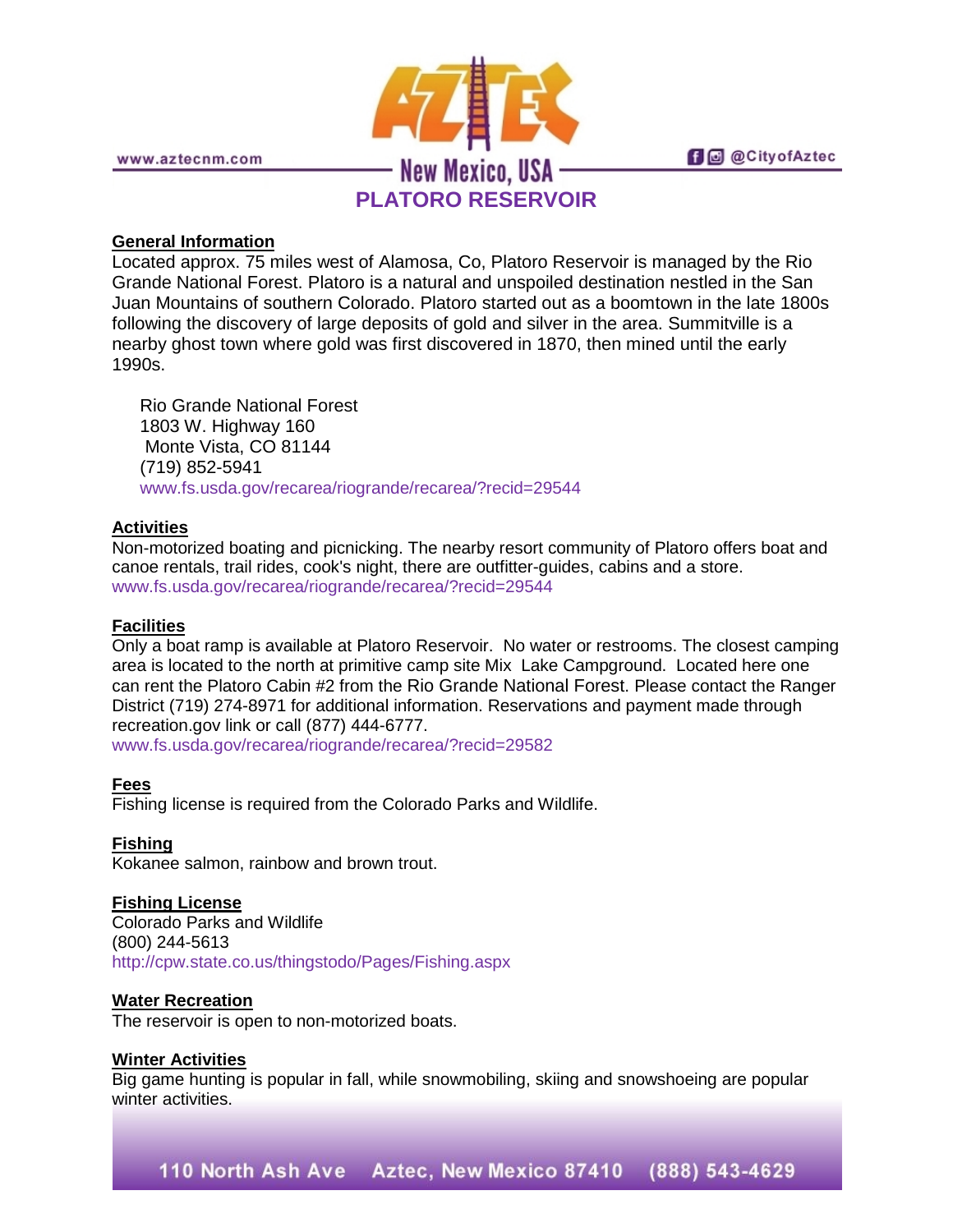

## **General Information**

Located approx. 75 miles west of Alamosa, Co, Platoro Reservoir is managed by the Rio Grande National Forest. Platoro is a natural and unspoiled destination nestled in the San Juan Mountains of southern Colorado. Platoro started out as a boomtown in the late 1800s following the discovery of large deposits of gold and silver in the area. Summitville is a nearby ghost town where gold was first discovered in 1870, then mined until the early 1990s.

Rio Grande National Forest 1803 W. Highway 160 Monte Vista, CO 81144 (719) 852-5941 [www.fs.usda.gov/recarea/riogrande/recarea/?recid=29544](http://www.fs.usda.gov/recarea/riogrande/recarea/?recid=29544)

# **Activities**

Non-motorized boating and picnicking. The nearby resort community of Platoro offers boat and canoe rentals, trail rides, cook's night, there are outfitter-guides, cabins and a store. [www.fs.usda.gov/recarea/riogrande/recarea/?recid=29544](http://www.fs.usda.gov/recarea/riogrande/recarea/?recid=29544)

### **Facilities**

Only a boat ramp is available at Platoro Reservoir. No water or restrooms. The closest camping area is located to the north at primitive camp site Mix Lake Campground. Located here one can rent the Platoro Cabin #2 from the Rio Grande National Forest. Please contact the Ranger District (719) 274-8971 for additional information. Reservations and payment made through recreation.gov link or call (877) 444-6777.

[www.fs.usda.gov/recarea/riogrande/recarea/?recid=29582](http://www.fs.usda.gov/recarea/riogrande/recarea/?recid=29582)

**Fees** Fishing license is required from the Colorado Parks and Wildlife.

### **Fishing**

Kokanee salmon, rainbow and brown trout.

### **Fishing License**

Colorado Parks and Wildlife (800) 244-5613 <http://cpw.state.co.us/thingstodo/Pages/Fishing.aspx>

### **Water Recreation**

The reservoir is open to non-motorized boats.

### **Winter Activities**

Big game hunting is popular in fall, while snowmobiling, skiing and snowshoeing are popular winter activities.

110 North Ash Ave Aztec, New Mexico 87410 (888) 543-4629